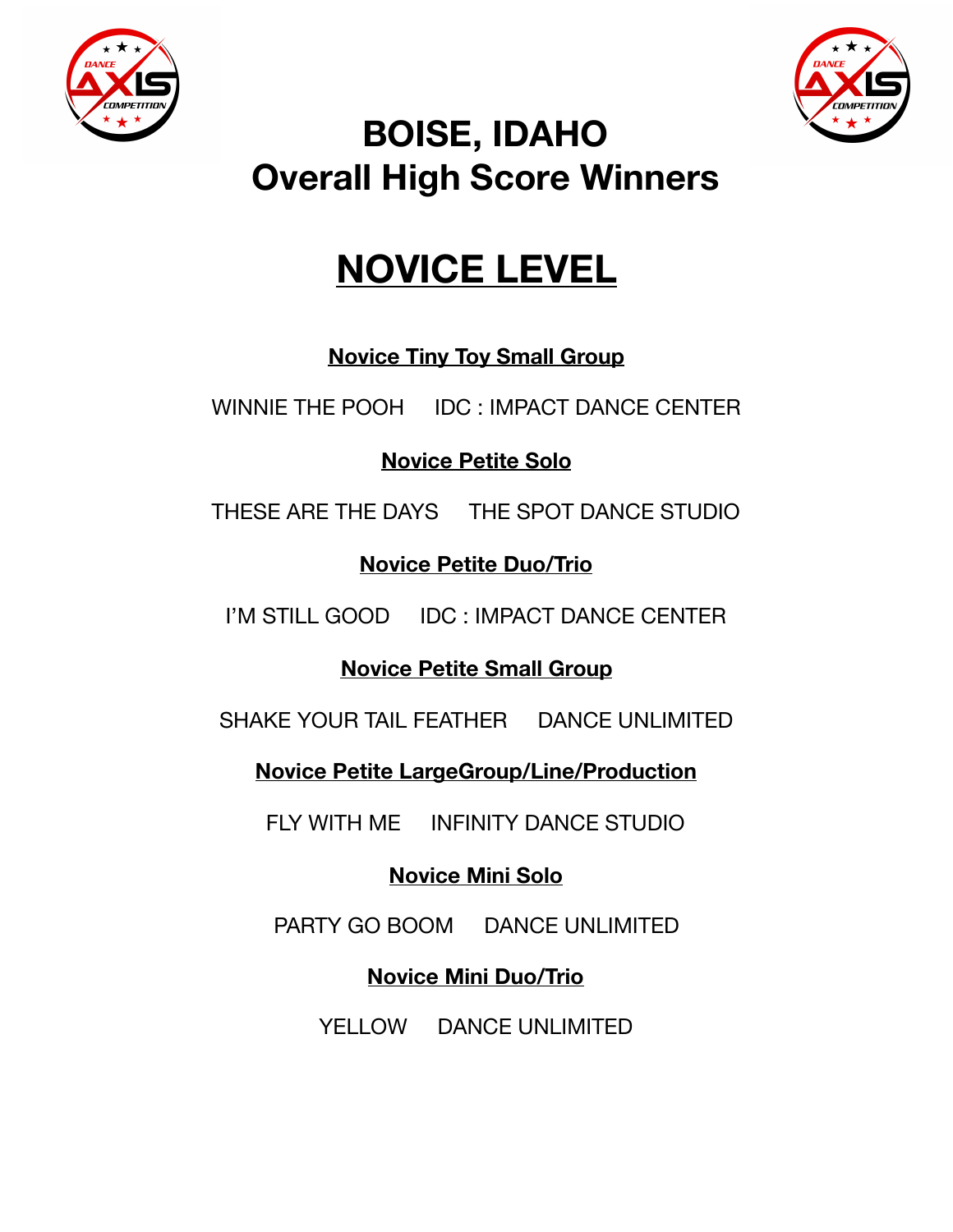



# **BOISE, IDAHO Overall High Score Winners**

# **NOVICE LEVEL**

# **Novice Tiny Toy Small Group**

WINNIE THE POOH IDC : IMPACT DANCE CENTER

**Novice Petite Solo** 

THESE ARE THE DAYS THE SPOT DANCE STUDIO

**Novice Petite Duo/Trio** 

I'M STILL GOOD IDC : IMPACT DANCE CENTER

**Novice Petite Small Group** 

SHAKE YOUR TAIL FEATHER DANCE UNLIMITED

**Novice Petite LargeGroup/Line/Production** 

FLY WITH ME INFINITY DANCE STUDIO

**Novice Mini Solo** 

PARTY GO BOOM DANCE UNLIMITED

**Novice Mini Duo/Trio** 

YELLOW DANCE UNLIMITED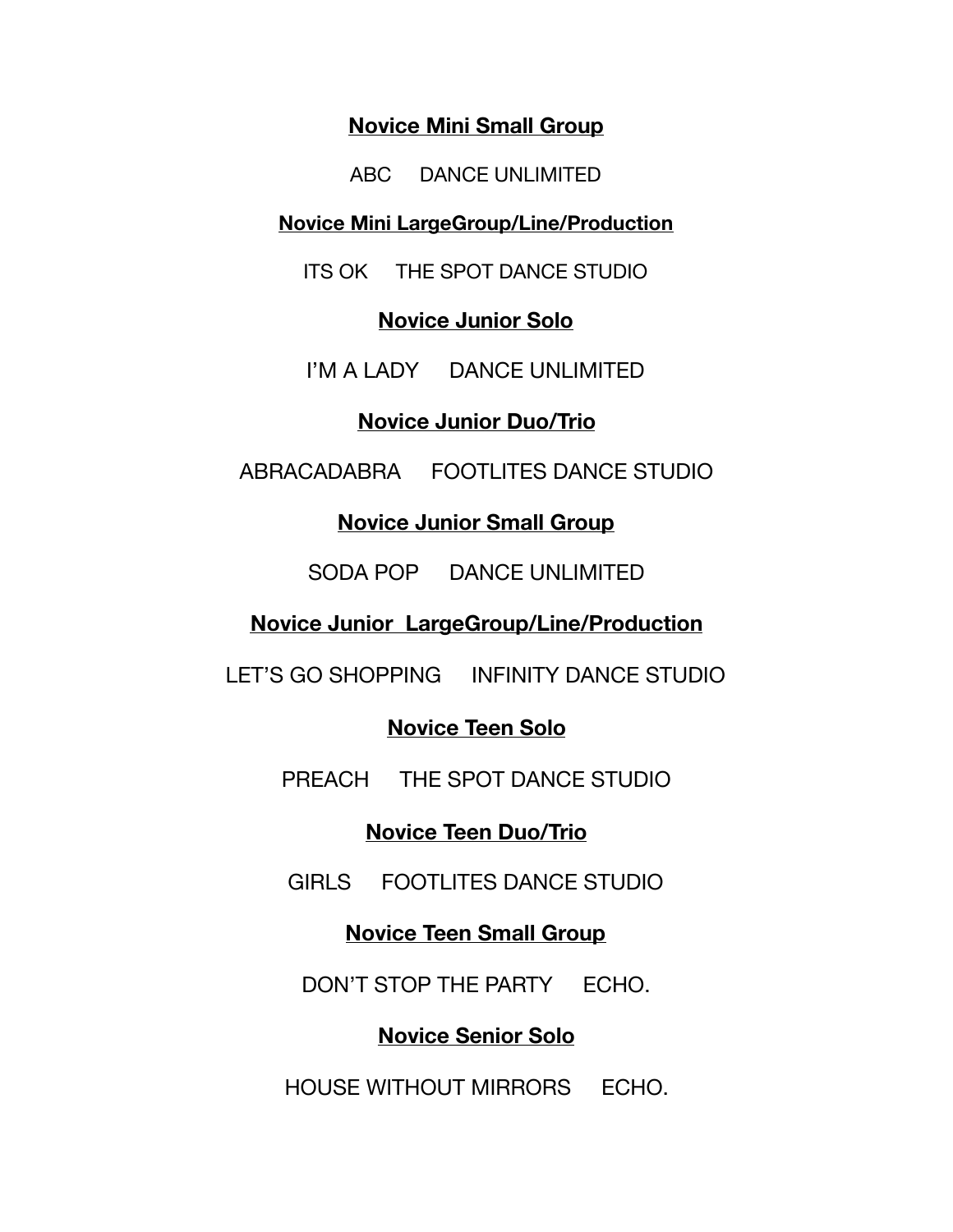### **Novice Mini Small Group**

ABC DANCE UNLIMITED

### **Novice Mini LargeGroup/Line/Production**

ITS OK THE SPOT DANCE STUDIO

### **Novice Junior Solo**

I'M A LADY DANCE UNLIMITED

### **Novice Junior Duo/Trio**

ABRACADABRA FOOTLITES DANCE STUDIO

### **Novice Junior Small Group**

SODA POP DANCE UNLIMITED

### **Novice Junior LargeGroup/Line/Production**

LET'S GO SHOPPING INFINITY DANCE STUDIO

### **Novice Teen Solo**

PREACH THE SPOT DANCE STUDIO

### **Novice Teen Duo/Trio**

GIRLS FOOTLITES DANCE STUDIO

### **Novice Teen Small Group**

DON'T STOP THE PARTY ECHO.

## **Novice Senior Solo**

HOUSE WITHOUT MIRRORS ECHO.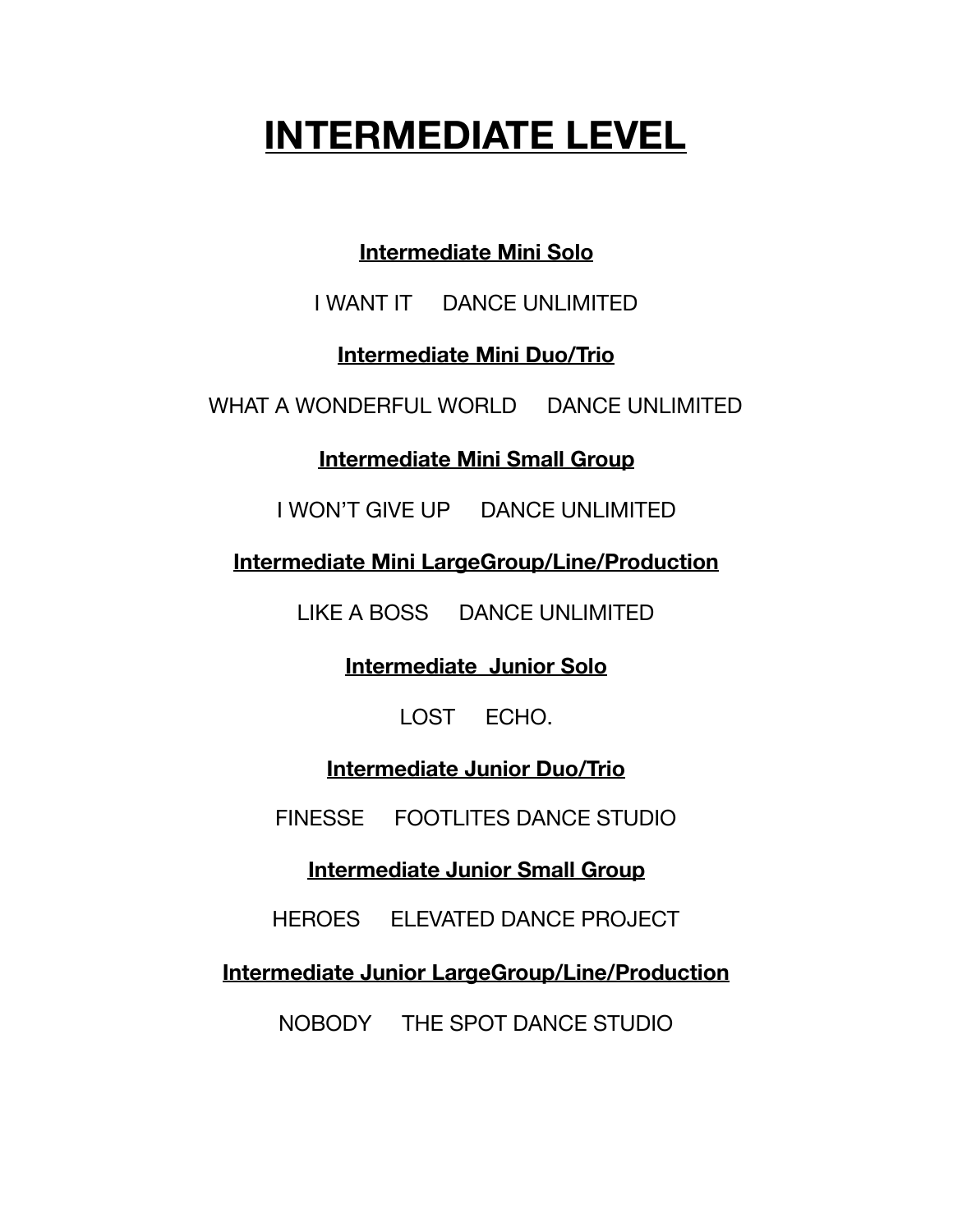# **INTERMEDIATE LEVEL**

### **Intermediate Mini Solo**

I WANT IT DANCE UNLIMITED

### **Intermediate Mini Duo/Trio**

WHAT A WONDERFUL WORLD DANCE UNLIMITED

### **Intermediate Mini Small Group**

I WON'T GIVE UP DANCE UNLIMITED

# **Intermediate Mini LargeGroup/Line/Production**

LIKE A BOSS DANCE UNLIMITED

**Intermediate Junior Solo** 

LOST ECHO.

## **Intermediate Junior Duo/Trio**

FINESSE FOOTLITES DANCE STUDIO

**Intermediate Junior Small Group** 

HEROES ELEVATED DANCE PROJECT

**Intermediate Junior LargeGroup/Line/Production** 

NOBODY THE SPOT DANCE STUDIO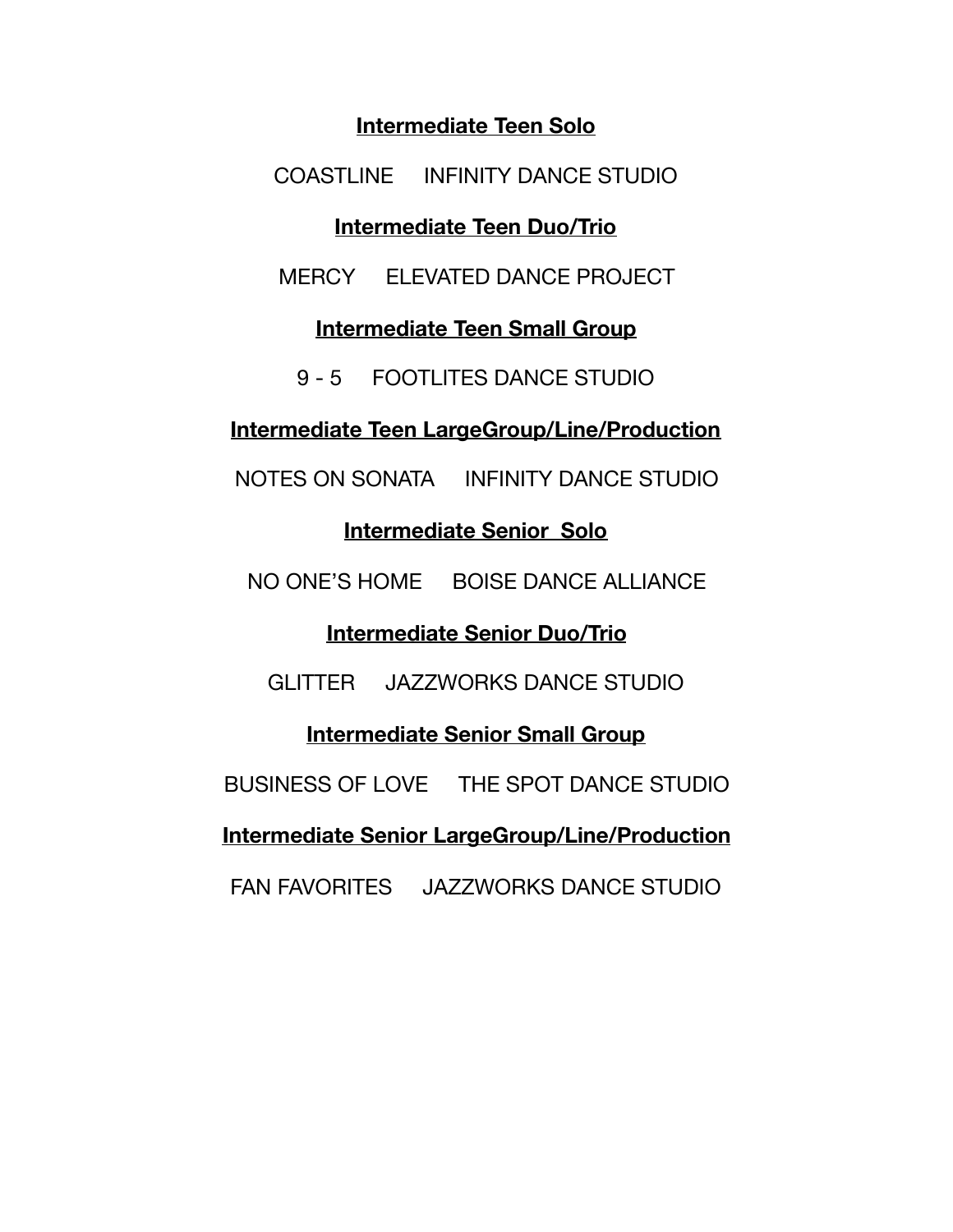### **Intermediate Teen Solo**

COASTLINE INFINITY DANCE STUDIO

### **Intermediate Teen Duo/Trio**

MERCY ELEVATED DANCE PROJECT

### **Intermediate Teen Small Group**

9 - 5 FOOTLITES DANCE STUDIO

### **Intermediate Teen LargeGroup/Line/Production**

NOTES ON SONATA INFINITY DANCE STUDIO

#### **Intermediate Senior Solo**

NO ONE'S HOME BOISE DANCE ALLIANCE

#### **Intermediate Senior Duo/Trio**

GLITTER JAZZWORKS DANCE STUDIO

### **Intermediate Senior Small Group**

BUSINESS OF LOVE THE SPOT DANCE STUDIO

**Intermediate Senior LargeGroup/Line/Production** 

FAN FAVORITES JAZZWORKS DANCE STUDIO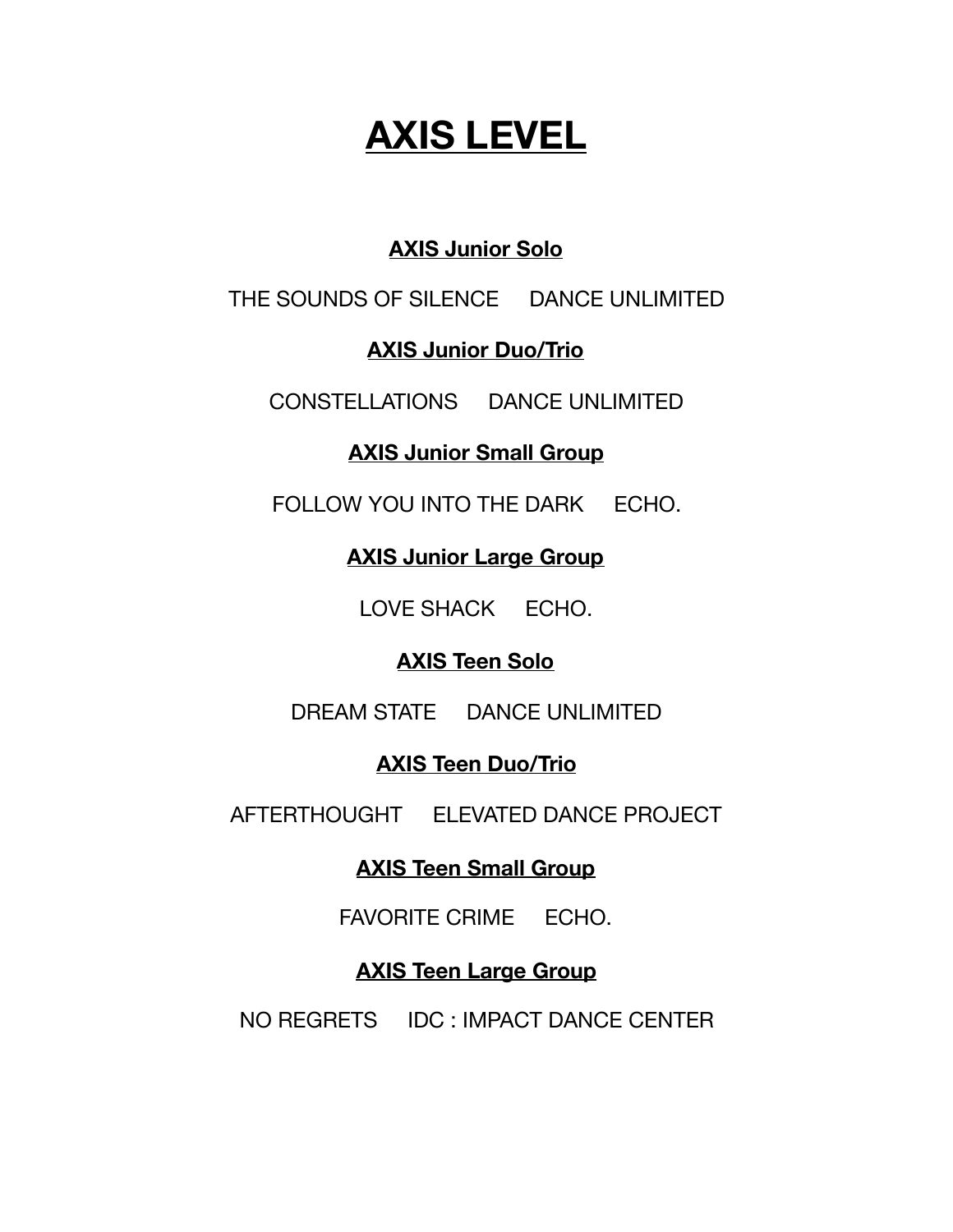# **AXIS LEVEL**

### **AXIS Junior Solo**

### THE SOUNDS OF SILENCE DANCE UNLIMITED

### **AXIS Junior Duo/Trio**

CONSTELLATIONS DANCE UNLIMITED

## **AXIS Junior Small Group**

FOLLOW YOU INTO THE DARK ECHO.

## **AXIS Junior Large Group**

LOVE SHACK ECHO.

# **AXIS Teen Solo**

DREAM STATE DANCE UNLIMITED

## **AXIS Teen Duo/Trio**

AFTERTHOUGHT ELEVATED DANCE PROJECT

## **AXIS Teen Small Group**

FAVORITE CRIME ECHO.

# **AXIS Teen Large Group**

NO REGRETS IDC : IMPACT DANCE CENTER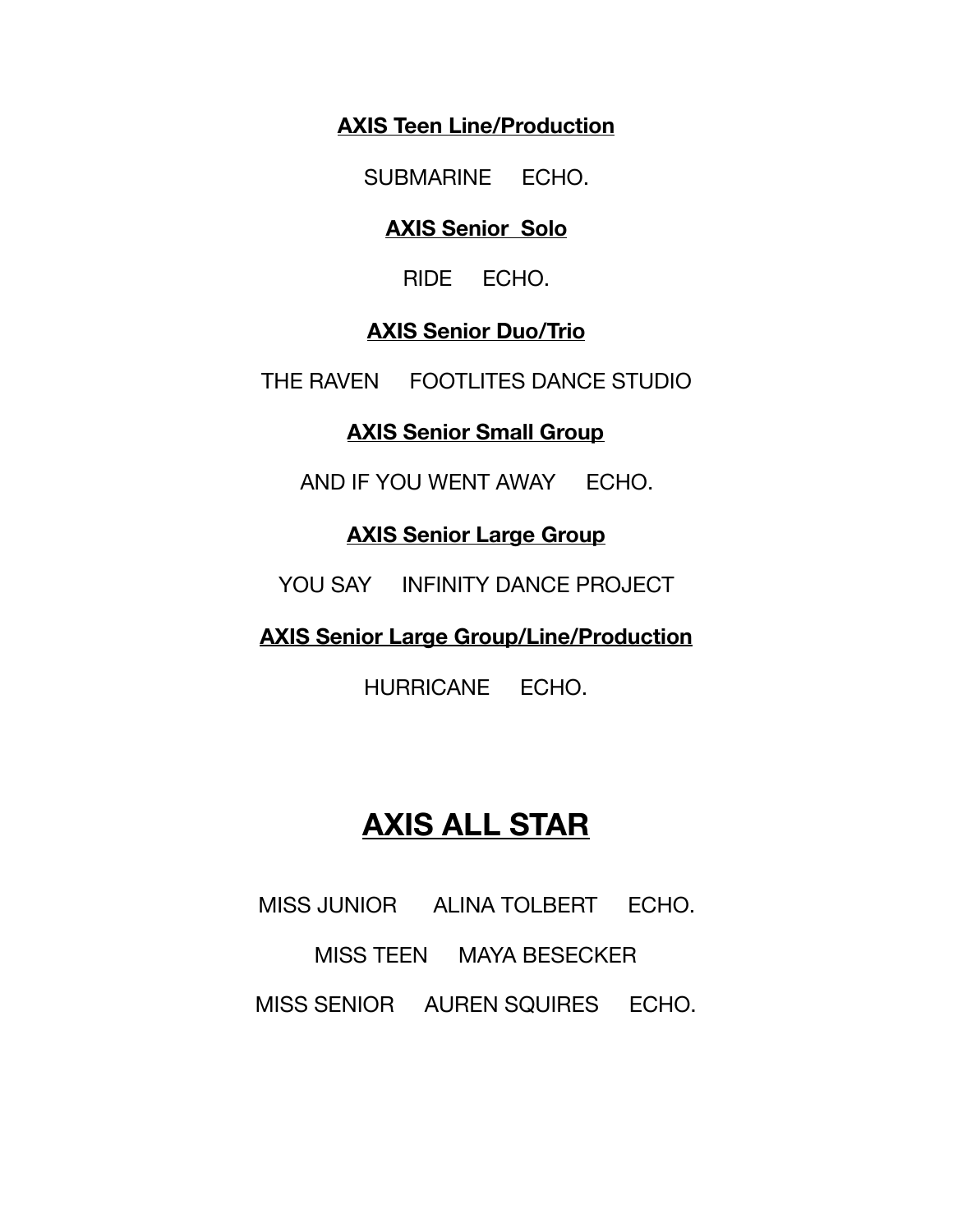### **AXIS Teen Line/Production**

SUBMARINE ECHO.

### **AXIS Senior Solo**

RIDE ECHO.

#### **AXIS Senior Duo/Trio**

THE RAVEN FOOTLITES DANCE STUDIO

### **AXIS Senior Small Group**

AND IF YOU WENT AWAY ECHO.

### **AXIS Senior Large Group**

YOU SAY INFINITY DANCE PROJECT

### **AXIS Senior Large Group/Line/Production**

HURRICANE ECHO.

# **AXIS ALL STAR**

MISS JUNIOR ALINA TOLBERT ECHO. MISS TEEN MAYA BESECKER MISS SENIOR AUREN SQUIRES ECHO.